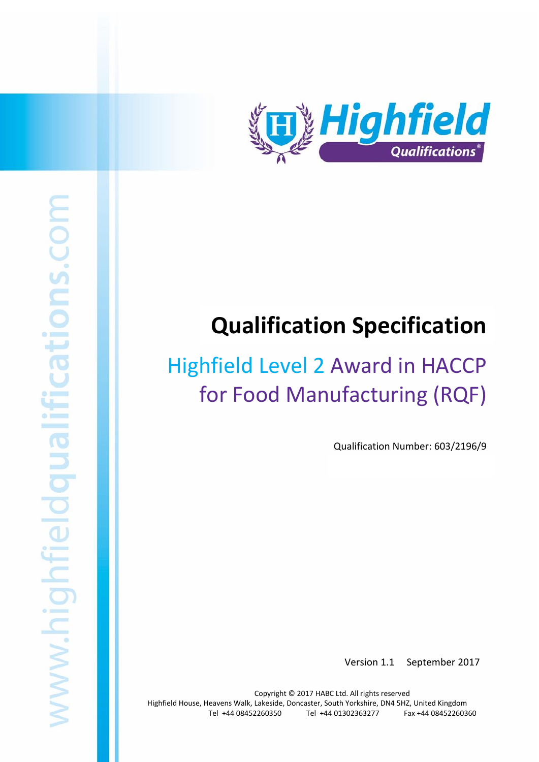

# **Qualification Specification**

# Highfield Level 2 Award in HACCP for Food Manufacturing (RQF)

Qualification Number: 603/2196/9

Version 1.1 September 2017

Copyright © 2017 HABC Ltd. All rights reserved Highfield House, Heavens Walk, Lakeside, Doncaster, South Yorkshire, DN4 5HZ, United Kingdom Tel +44 08452260350 Tel +44 01302363277 Fax +44 08452260360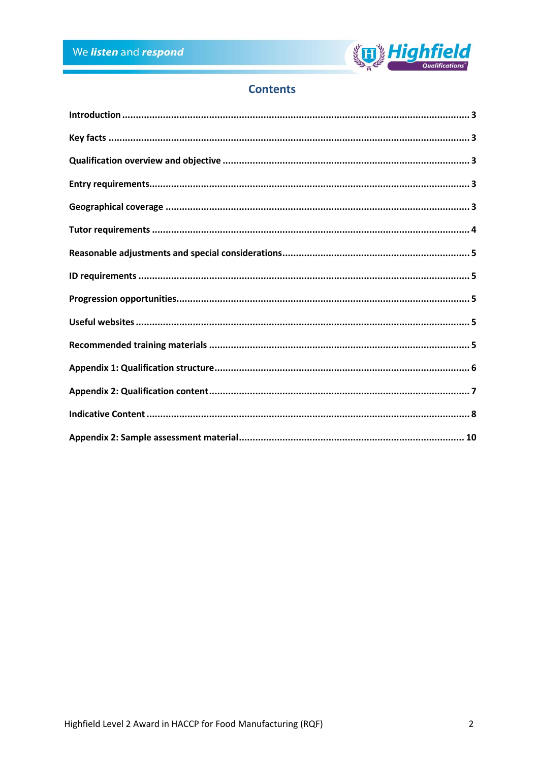

## **Contents**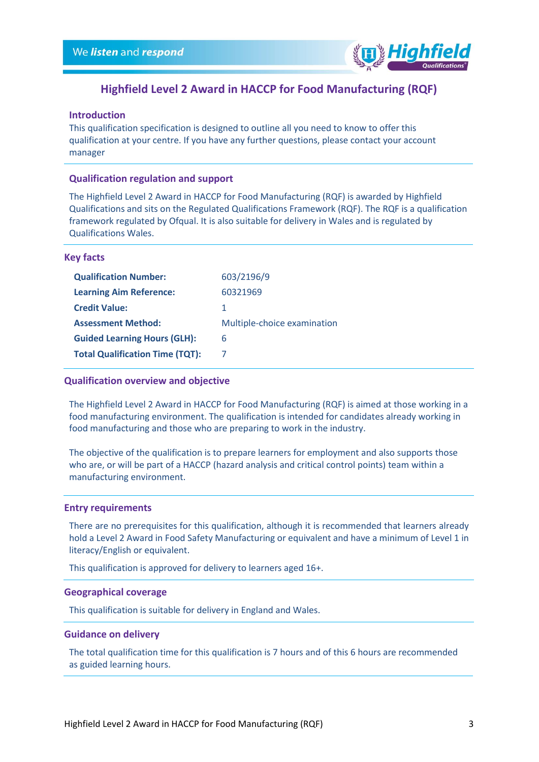

## **Highfield Level 2 Award in HACCP for Food Manufacturing (RQF)**

#### <span id="page-2-0"></span>**Introduction**

This qualification specification is designed to outline all you need to know to offer this qualification at your centre. If you have any further questions, please contact your account manager

#### **Qualification regulation and support**

The Highfield Level 2 Award in HACCP for Food Manufacturing (RQF) is awarded by Highfield Qualifications and sits on the Regulated Qualifications Framework (RQF). The RQF is a qualification framework regulated by Ofqual. It is also suitable for delivery in Wales and is regulated by Qualifications Wales.

#### <span id="page-2-1"></span>**Key facts**

| <b>Qualification Number:</b>           | 603/2196/9                  |
|----------------------------------------|-----------------------------|
| <b>Learning Aim Reference:</b>         | 60321969                    |
| <b>Credit Value:</b>                   | 1                           |
| <b>Assessment Method:</b>              | Multiple-choice examination |
| <b>Guided Learning Hours (GLH):</b>    | 6                           |
| <b>Total Qualification Time (TQT):</b> |                             |

#### <span id="page-2-2"></span>**Qualification overview and objective**

The Highfield Level 2 Award in HACCP for Food Manufacturing (RQF) is aimed at those working in a food manufacturing environment. The qualification is intended for candidates already working in food manufacturing and those who are preparing to work in the industry.

The objective of the qualification is to prepare learners for employment and also supports those who are, or will be part of a HACCP (hazard analysis and critical control points) team within a manufacturing environment.

#### <span id="page-2-3"></span>**Entry requirements**

There are no prerequisites for this qualification, although it is recommended that learners already hold a Level 2 Award in Food Safety Manufacturing or equivalent and have a minimum of Level 1 in literacy/English or equivalent.

This qualification is approved for delivery to learners aged 16+.

#### <span id="page-2-4"></span>**Geographical coverage**

This qualification is suitable for delivery in England and Wales.

#### **Guidance on delivery**

The total qualification time for this qualification is 7 hours and of this 6 hours are recommended as guided learning hours.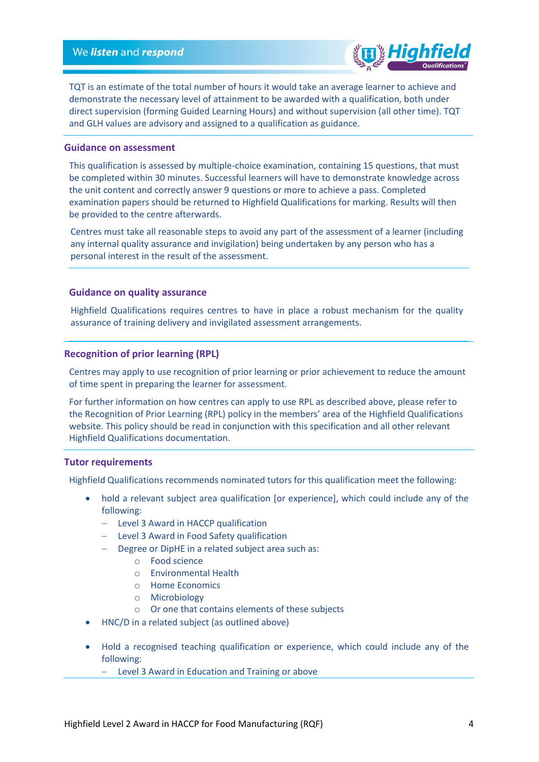

TQT is an estimate of the total number of hours it would take an average learner to achieve and demonstrate the necessary level of attainment to be awarded with a qualification, both under direct supervision (forming Guided Learning Hours) and without supervision (all other time). TQT and GLH values are advisory and assigned to a qualification as guidance.

#### **Guidance on assessment**

This qualification is assessed by multiple-choice examination, containing 15 questions, that must be completed within 30 minutes. Successful learners will have to demonstrate knowledge across the unit content and correctly answer 9 questions or more to achieve a pass. Completed examination papers should be returned to Highfield Qualifications for marking. Results will then be provided to the centre afterwards.

Centres must take all reasonable steps to avoid any part of the assessment of a learner (including any internal quality assurance and invigilation) being undertaken by any person who has a personal interest in the result of the assessment.

#### **Guidance on quality assurance**

Highfield Qualifications requires centres to have in place a robust mechanism for the quality assurance of training delivery and invigilated assessment arrangements.

#### **Recognition of prior learning (RPL)**

Centres may apply to use recognition of prior learning or prior achievement to reduce the amount of time spent in preparing the learner for assessment.

For further information on how centres can apply to use RPL as described above, please refer to the Recognition of Prior Learning (RPL) policy in the members' area of the Highfield Qualifications website. This policy should be read in conjunction with this specification and all other relevant Highfield Qualifications documentation.

#### <span id="page-3-0"></span>**Tutor requirements**

Highfield Qualifications recommends nominated tutors for this qualification meet the following:

- hold a relevant subject area qualification [or experience], which could include any of the following:
	- Level 3 Award in HACCP qualification
	- Level 3 Award in Food Safety qualification
	- Degree or DipHE in a related subject area such as:
		- o Food science
		- o Environmental Health
		- o Home Economics
		- o Microbiology
		- o Or one that contains elements of these subjects
- HNC/D in a related subject (as outlined above)
- Hold a recognised teaching qualification or experience, which could include any of the following:
	- Level 3 Award in Education and Training or above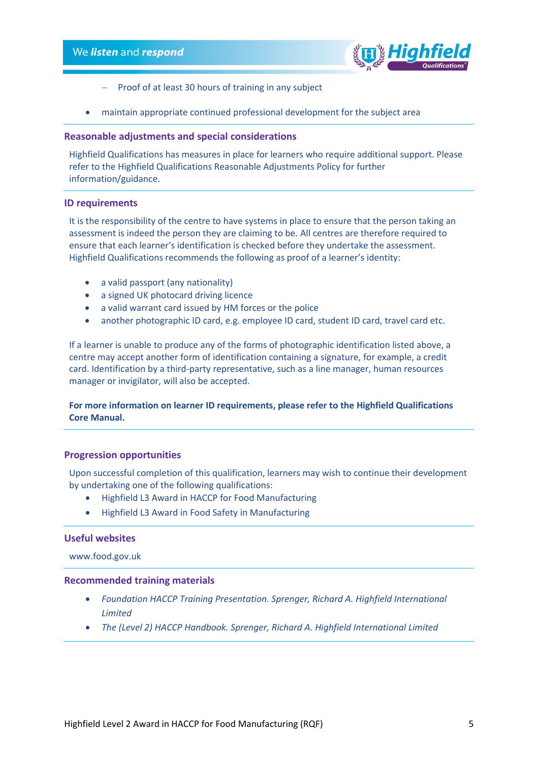

- Proof of at least 30 hours of training in any subject
- maintain appropriate continued professional development for the subject area

#### <span id="page-4-0"></span>**Reasonable adjustments and special considerations**

Highfield Qualifications has measures in place for learners who require additional support. Please refer to the Highfield Qualifications Reasonable Adjustments Policy for further information/guidance.

#### <span id="page-4-1"></span>**ID requirements**

It is the responsibility of the centre to have systems in place to ensure that the person taking an assessment is indeed the person they are claiming to be. All centres are therefore required to ensure that each learner's identification is checked before they undertake the assessment. Highfield Qualifications recommends the following as proof of a learner's identity:

- a valid passport (any nationality)
- a signed UK photocard driving licence
- a valid warrant card issued by HM forces or the police
- another photographic ID card, e.g. employee ID card, student ID card, travel card etc.

If a learner is unable to produce any of the forms of photographic identification listed above, a centre may accept another form of identification containing a signature, for example, a credit card. Identification by a third-party representative, such as a line manager, human resources manager or invigilator, will also be accepted.

#### **For more information on learner ID requirements, please refer to the Highfield Qualifications Core Manual.**

#### <span id="page-4-2"></span>**Progression opportunities**

Upon successful completion of this qualification, learners may wish to continue their development by undertaking one of the following qualifications:

- Highfield L3 Award in HACCP for Food Manufacturing
- Highfield L3 Award in Food Safety in Manufacturing

#### <span id="page-4-3"></span>**Useful websites**

www.food.gov.uk

#### <span id="page-4-4"></span>**Recommended training materials**

- *Foundation HACCP Training Presentation. Sprenger, Richard A. Highfield International Limited*
- *The (Level 2) HACCP Handbook. Sprenger, Richard A. Highfield International Limited*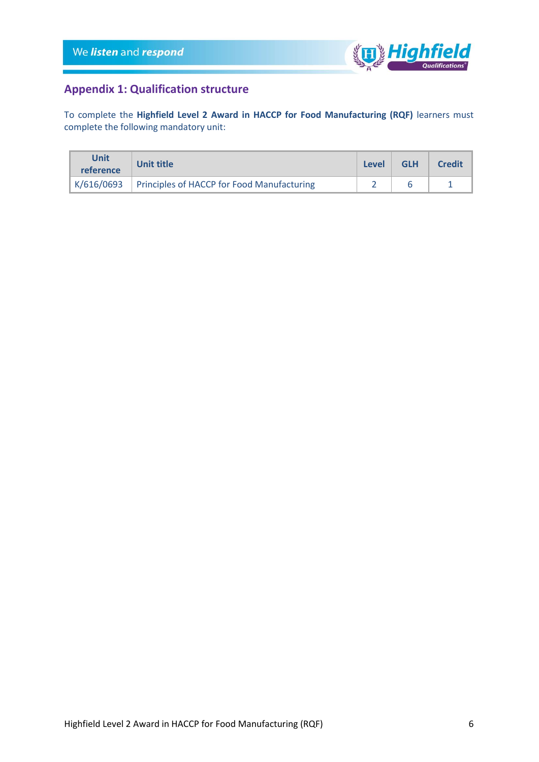

## <span id="page-5-0"></span>**Appendix 1: Qualification structure**

To complete the **Highfield Level 2 Award in HACCP for Food Manufacturing (RQF)** learners must complete the following mandatory unit:

| Unit<br>reference | Unit title                                              | <b>Level</b> | <b>GLH</b> | <b>Credit</b> |
|-------------------|---------------------------------------------------------|--------------|------------|---------------|
|                   | $K/616/0693$ Principles of HACCP for Food Manufacturing |              |            |               |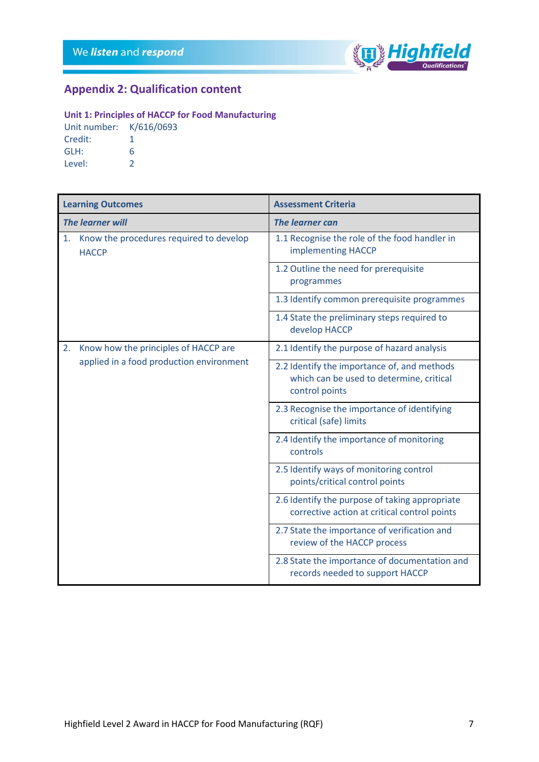

## <span id="page-6-0"></span>**Appendix 2: Qualification content**

#### **Unit 1: Principles of HACCP for Food Manufacturing**

Unit number: K/616/0693 Credit: 1 GLH: 6 Level: 2

| <b>Learning Outcomes</b> |                                                                                  | <b>Assessment Criteria</b>                                                                                |  |
|--------------------------|----------------------------------------------------------------------------------|-----------------------------------------------------------------------------------------------------------|--|
| <b>The learner will</b>  |                                                                                  | <b>The learner can</b>                                                                                    |  |
| 1.                       | Know the procedures required to develop<br><b>HACCP</b>                          | 1.1 Recognise the role of the food handler in<br>implementing HACCP                                       |  |
|                          |                                                                                  | 1.2 Outline the need for prerequisite<br>programmes                                                       |  |
|                          |                                                                                  | 1.3 Identify common prerequisite programmes                                                               |  |
|                          |                                                                                  | 1.4 State the preliminary steps required to<br>develop HACCP                                              |  |
| 2.                       | Know how the principles of HACCP are<br>applied in a food production environment | 2.1 Identify the purpose of hazard analysis                                                               |  |
|                          |                                                                                  | 2.2 Identify the importance of, and methods<br>which can be used to determine, critical<br>control points |  |
|                          |                                                                                  | 2.3 Recognise the importance of identifying<br>critical (safe) limits                                     |  |
|                          |                                                                                  | 2.4 Identify the importance of monitoring<br>controls                                                     |  |
|                          |                                                                                  | 2.5 Identify ways of monitoring control<br>points/critical control points                                 |  |
|                          |                                                                                  | 2.6 Identify the purpose of taking appropriate<br>corrective action at critical control points            |  |
|                          |                                                                                  | 2.7 State the importance of verification and<br>review of the HACCP process                               |  |
|                          |                                                                                  | 2.8 State the importance of documentation and<br>records needed to support HACCP                          |  |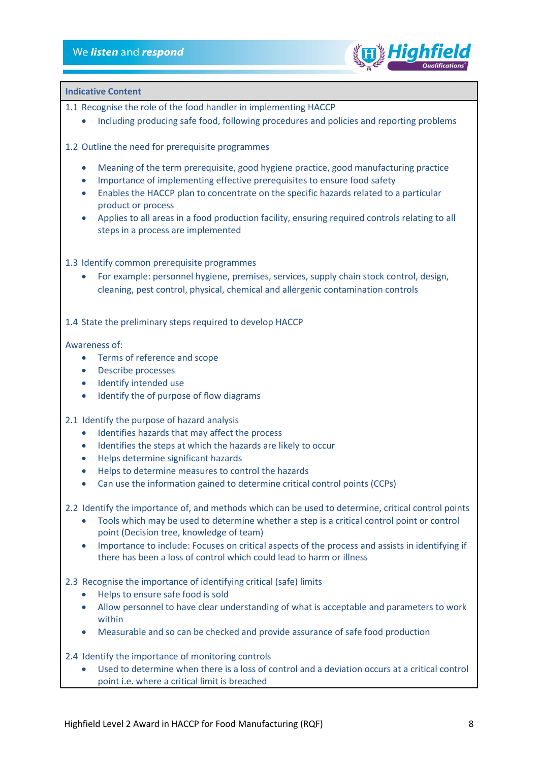

#### <span id="page-7-0"></span>**Indicative Content**

1.1 Recognise the role of the food handler in implementing HACCP

- Including producing safe food, following procedures and policies and reporting problems
- 1.2 Outline the need for prerequisite programmes
	- Meaning of the term prerequisite, good hygiene practice, good manufacturing practice
	- Importance of implementing effective prerequisites to ensure food safety
	- Enables the HACCP plan to concentrate on the specific hazards related to a particular product or process
	- Applies to all areas in a food production facility, ensuring required controls relating to all steps in a process are implemented
- 1.3 Identify common prerequisite programmes
	- For example: personnel hygiene, premises, services, supply chain stock control, design, cleaning, pest control, physical, chemical and allergenic contamination controls

1.4 State the preliminary steps required to develop HACCP

#### Awareness of:

- Terms of reference and scope
- Describe processes
- Identify intended use
- Identify the of purpose of flow diagrams
- 2.1 Identify the purpose of hazard analysis
	- Identifies hazards that may affect the process
	- Identifies the steps at which the hazards are likely to occur
	- Helps determine significant hazards
	- Helps to determine measures to control the hazards
	- Can use the information gained to determine critical control points (CCPs)
- 2.2 Identify the importance of, and methods which can be used to determine, critical control points
	- Tools which may be used to determine whether a step is a critical control point or control point (Decision tree, knowledge of team)
	- Importance to include: Focuses on critical aspects of the process and assists in identifying if there has been a loss of control which could lead to harm or illness
- 2.3 Recognise the importance of identifying critical (safe) limits
	- Helps to ensure safe food is sold
	- Allow personnel to have clear understanding of what is acceptable and parameters to work within
	- Measurable and so can be checked and provide assurance of safe food production
- 2.4 Identify the importance of monitoring controls
	- Used to determine when there is a loss of control and a deviation occurs at a critical control point i.e. where a critical limit is breached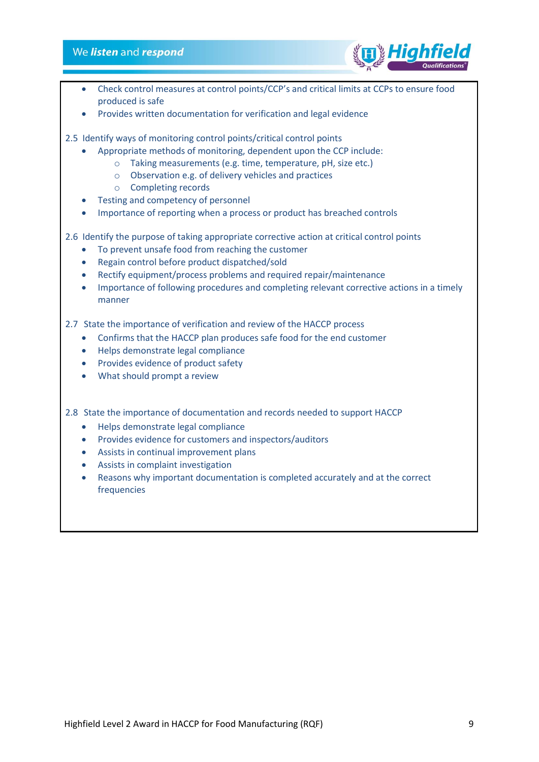#### We listen and respond



- Check control measures at control points/CCP's and critical limits at CCPs to ensure food produced is safe
- Provides written documentation for verification and legal evidence
- 2.5 Identify ways of monitoring control points/critical control points
	- Appropriate methods of monitoring, dependent upon the CCP include:
		- o Taking measurements (e.g. time, temperature, pH, size etc.)
		- o Observation e.g. of delivery vehicles and practices
		- o Completing records
	- Testing and competency of personnel
	- Importance of reporting when a process or product has breached controls

2.6 Identify the purpose of taking appropriate corrective action at critical control points

- To prevent unsafe food from reaching the customer
- Regain control before product dispatched/sold
- Rectify equipment/process problems and required repair/maintenance
- Importance of following procedures and completing relevant corrective actions in a timely manner

2.7 State the importance of verification and review of the HACCP process

- Confirms that the HACCP plan produces safe food for the end customer
- Helps demonstrate legal compliance
- Provides evidence of product safety
- What should prompt a review

2.8 State the importance of documentation and records needed to support HACCP

- Helps demonstrate legal compliance
- Provides evidence for customers and inspectors/auditors
- Assists in continual improvement plans
- Assists in complaint investigation
- Reasons why important documentation is completed accurately and at the correct frequencies